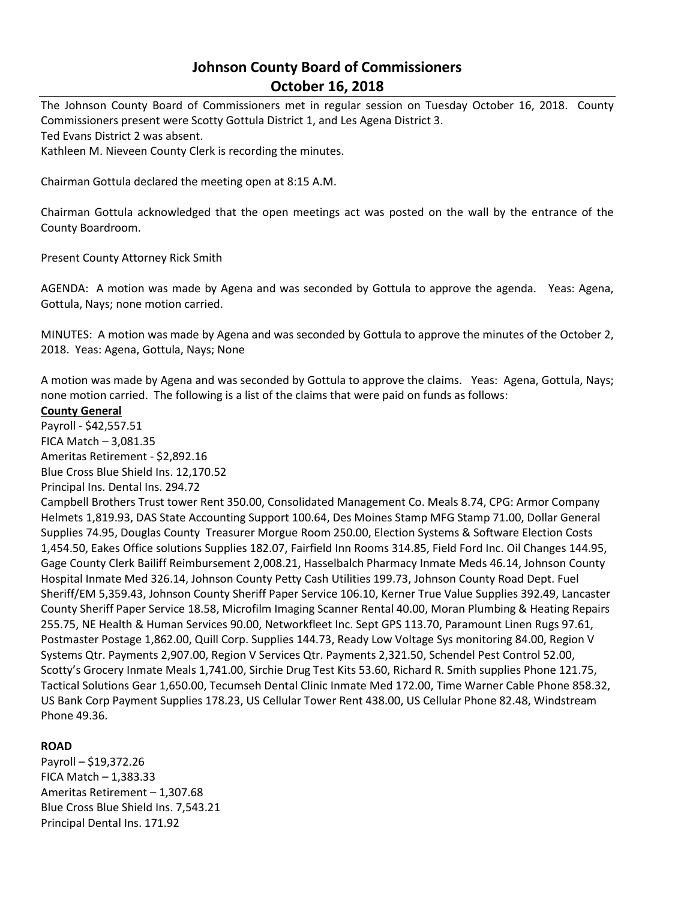# **Johnson County Board of Commissioners October 16, 2018**

The Johnson County Board of Commissioners met in regular session on Tuesday October 16, 2018. County Commissioners present were Scotty Gottula District 1, and Les Agena District 3. Ted Evans District 2 was absent.

Kathleen M. Nieveen County Clerk is recording the minutes.

Chairman Gottula declared the meeting open at 8:15 A.M.

Chairman Gottula acknowledged that the open meetings act was posted on the wall by the entrance of the County Boardroom.

Present County Attorney Rick Smith

AGENDA: A motion was made by Agena and was seconded by Gottula to approve the agenda. Yeas: Agena, Gottula, Nays; none motion carried.

MINUTES: A motion was made by Agena and was seconded by Gottula to approve the minutes of the October 2, 2018. Yeas: Agena, Gottula, Nays; None

A motion was made by Agena and was seconded by Gottula to approve the claims. Yeas: Agena, Gottula, Nays; none motion carried. The following is a list of the claims that were paid on funds as follows:

# **County General**

Payroll - \$42,557.51 FICA Match – 3,081.35 Ameritas Retirement - \$2,892.16 Blue Cross Blue Shield Ins. 12,170.52

Principal Ins. Dental Ins. 294.72

Campbell Brothers Trust tower Rent 350.00, Consolidated Management Co. Meals 8.74, CPG: Armor Company Helmets 1,819.93, DAS State Accounting Support 100.64, Des Moines Stamp MFG Stamp 71.00, Dollar General Supplies 74.95, Douglas County Treasurer Morgue Room 250.00, Election Systems & Software Election Costs 1,454.50, Eakes Office solutions Supplies 182.07, Fairfield Inn Rooms 314.85, Field Ford Inc. Oil Changes 144.95, Gage County Clerk Bailiff Reimbursement 2,008.21, Hasselbalch Pharmacy Inmate Meds 46.14, Johnson County Hospital Inmate Med 326.14, Johnson County Petty Cash Utilities 199.73, Johnson County Road Dept. Fuel Sheriff/EM 5,359.43, Johnson County Sheriff Paper Service 106.10, Kerner True Value Supplies 392.49, Lancaster County Sheriff Paper Service 18.58, Microfilm Imaging Scanner Rental 40.00, Moran Plumbing & Heating Repairs 255.75, NE Health & Human Services 90.00, Networkfleet Inc. Sept GPS 113.70, Paramount Linen Rugs 97.61, Postmaster Postage 1,862.00, Quill Corp. Supplies 144.73, Ready Low Voltage Sys monitoring 84.00, Region V Systems Qtr. Payments 2,907.00, Region V Services Qtr. Payments 2,321.50, Schendel Pest Control 52.00, Scotty's Grocery Inmate Meals 1,741.00, Sirchie Drug Test Kits 53.60, Richard R. Smith supplies Phone 121.75, Tactical Solutions Gear 1,650.00, Tecumseh Dental Clinic Inmate Med 172.00, Time Warner Cable Phone 858.32, US Bank Corp Payment Supplies 178.23, US Cellular Tower Rent 438.00, US Cellular Phone 82.48, Windstream Phone 49.36.

#### **ROAD**

Payroll – \$19,372.26 FICA Match  $-1,383.33$ Ameritas Retirement – 1,307.68 Blue Cross Blue Shield Ins. 7,543.21 Principal Dental Ins. 171.92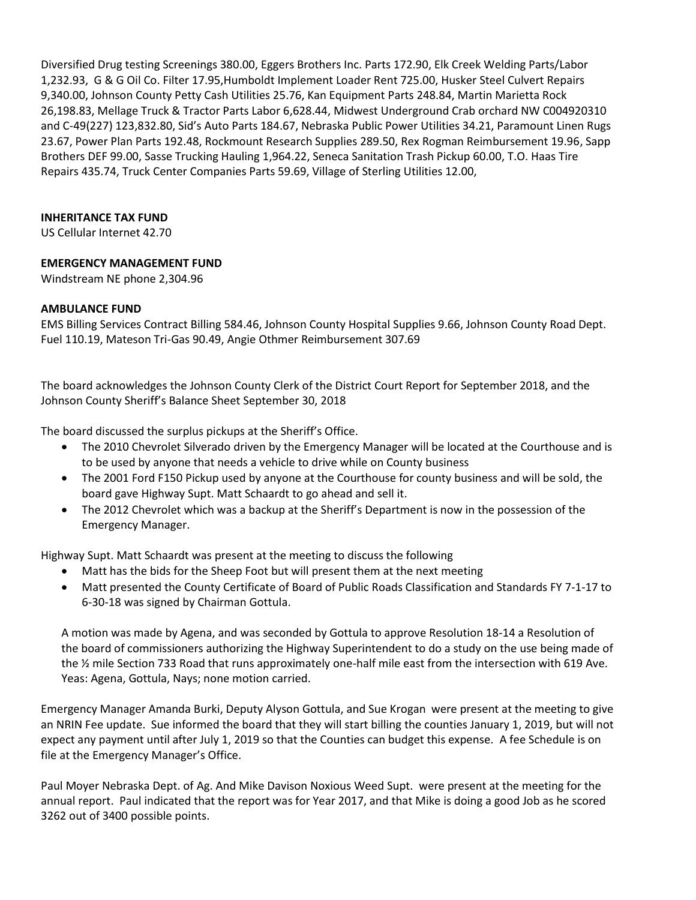Diversified Drug testing Screenings 380.00, Eggers Brothers Inc. Parts 172.90, Elk Creek Welding Parts/Labor 1,232.93, G & G Oil Co. Filter 17.95,Humboldt Implement Loader Rent 725.00, Husker Steel Culvert Repairs 9,340.00, Johnson County Petty Cash Utilities 25.76, Kan Equipment Parts 248.84, Martin Marietta Rock 26,198.83, Mellage Truck & Tractor Parts Labor 6,628.44, Midwest Underground Crab orchard NW C004920310 and C-49(227) 123,832.80, Sid's Auto Parts 184.67, Nebraska Public Power Utilities 34.21, Paramount Linen Rugs 23.67, Power Plan Parts 192.48, Rockmount Research Supplies 289.50, Rex Rogman Reimbursement 19.96, Sapp Brothers DEF 99.00, Sasse Trucking Hauling 1,964.22, Seneca Sanitation Trash Pickup 60.00, T.O. Haas Tire Repairs 435.74, Truck Center Companies Parts 59.69, Village of Sterling Utilities 12.00,

# **INHERITANCE TAX FUND**

US Cellular Internet 42.70

## **EMERGENCY MANAGEMENT FUND**

Windstream NE phone 2,304.96

## **AMBULANCE FUND**

EMS Billing Services Contract Billing 584.46, Johnson County Hospital Supplies 9.66, Johnson County Road Dept. Fuel 110.19, Mateson Tri-Gas 90.49, Angie Othmer Reimbursement 307.69

The board acknowledges the Johnson County Clerk of the District Court Report for September 2018, and the Johnson County Sheriff's Balance Sheet September 30, 2018

The board discussed the surplus pickups at the Sheriff's Office.

- The 2010 Chevrolet Silverado driven by the Emergency Manager will be located at the Courthouse and is to be used by anyone that needs a vehicle to drive while on County business
- The 2001 Ford F150 Pickup used by anyone at the Courthouse for county business and will be sold, the board gave Highway Supt. Matt Schaardt to go ahead and sell it.
- The 2012 Chevrolet which was a backup at the Sheriff's Department is now in the possession of the Emergency Manager.

Highway Supt. Matt Schaardt was present at the meeting to discuss the following

- Matt has the bids for the Sheep Foot but will present them at the next meeting
- Matt presented the County Certificate of Board of Public Roads Classification and Standards FY 7-1-17 to 6-30-18 was signed by Chairman Gottula.

A motion was made by Agena, and was seconded by Gottula to approve Resolution 18-14 a Resolution of the board of commissioners authorizing the Highway Superintendent to do a study on the use being made of the ½ mile Section 733 Road that runs approximately one-half mile east from the intersection with 619 Ave. Yeas: Agena, Gottula, Nays; none motion carried.

Emergency Manager Amanda Burki, Deputy Alyson Gottula, and Sue Krogan were present at the meeting to give an NRIN Fee update. Sue informed the board that they will start billing the counties January 1, 2019, but will not expect any payment until after July 1, 2019 so that the Counties can budget this expense. A fee Schedule is on file at the Emergency Manager's Office.

Paul Moyer Nebraska Dept. of Ag. And Mike Davison Noxious Weed Supt. were present at the meeting for the annual report. Paul indicated that the report was for Year 2017, and that Mike is doing a good Job as he scored 3262 out of 3400 possible points.